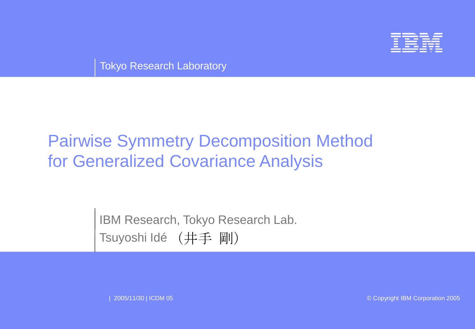

Tokyo Research Laboratory

# Pairwise Symmetry Decomposition Method for Generalized Covariance Analysis

IBM Research, Tokyo Research Lab. Tsuyoshi Idé (井手 剛)

| 2005/11/30 | ICDM 05 © Copyright IBM Corporation 2005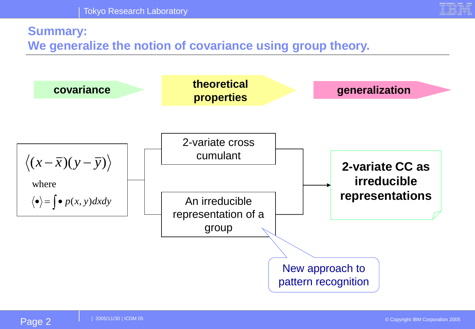

## **Summary:**

**We generalize the notion of covariance using group theory.** 

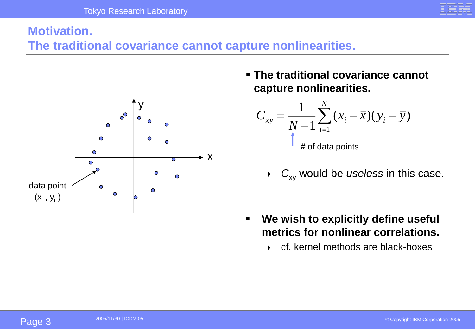

# **Motivation.**

**The traditional covariance cannot capture nonlinearities.**



▪ **The traditional covariance cannot capture nonlinearities.**

$$
C_{xy} = \frac{1}{N-1} \sum_{i=1}^{N} (x_i - \overline{x})(y_i - \overline{y})
$$
  

- $\rightarrow$   $C_{xy}$  would be *useless* in this case.
- **We wish to explicitly define useful metrics for nonlinear correlations.**
	- cf. kernel methods are black-boxes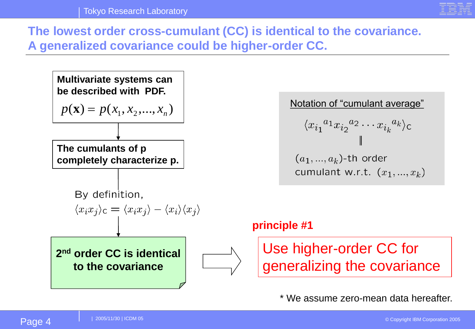

**The lowest order cross-cumulant (CC) is identical to the covariance. A generalized covariance could be higher-order CC.**

**Multivariate systems can be described with PDF.**

$$
p(\mathbf{x}) = p(x_1, x_2, \dots, x_n)
$$

**The cumulants of p completely characterize p.**

By definition,

$$
\langle x_i x_j \rangle_{\mathsf{C}} = \langle x_i x_j \rangle - \langle x_i \rangle \langle x_j \rangle
$$

**2 nd order CC is identical to the covariance**



Notation of "cumulant average"  $\langle x_{i_1}{}^{a_1} x_{i_2}{}^{a_2} \cdots x_{i_k}{}^{a_k} \rangle_c$  $(a_1, ..., a_k)$ -th order cumulant w.r.t.  $(x_1, ..., x_k)$ 

#### **principle #1**

Use higher-order CC for generalizing the covariance

\* We assume zero-mean data hereafter.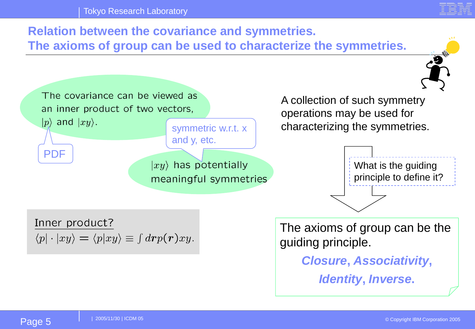

### **Relation between the covariance and symmetries. The axioms of group can be used to characterize the symmetries.** The covariance can be viewed as A collection of such symmetry an inner product of two vectors, operations may be used for  $|p\rangle$  and  $|xy\rangle$ . characterizing the symmetries. symmetric w.r.t. x and y, etc. PDF $|xy\rangle$  has potentially What is the guiding principle to define it? meaningful symmetries Inner product? The axioms of group can be the  $\langle p| \cdot | xy \rangle = \langle p| xy \rangle \equiv \int d \mathbf{r} p(\mathbf{r}) xy.$ guiding principle. *Closure***,** *Associativity***,**  *Identity***,** *Inverse***.**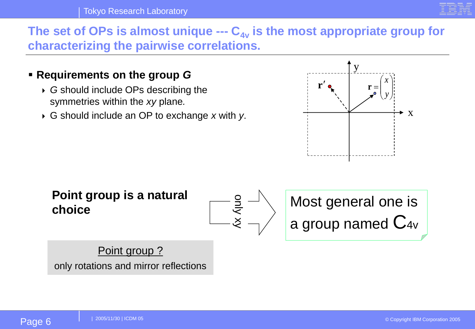

### The set of OPs is almost unique --- C<sub>4y</sub> is the most appropriate group for **characterizing the pairwise correlations.**

- **Requirements on the group** *G*
	- *G* should include OPs describing the symmetries within the *xy* plane*.*
	- G should include an OP to exchange *x* with *y*.



**Point group is a natural choice**



Most general one is a group named  $C_{4v}$ 

Point group? only rotations and mirror reflections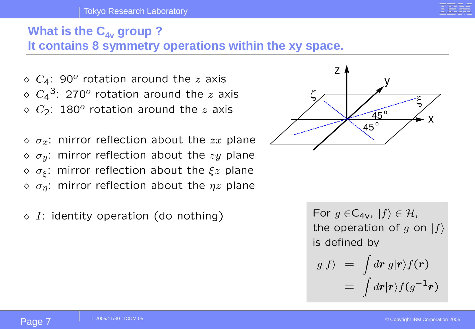#### Tokyo Research Laboratory

## **What is the C<sub>4v</sub> group?**

**It contains 8 symmetry operations within the xy space.**

 $\Diamond$  C<sub>4</sub>: 90<sup>o</sup> rotation around the z axis  $\circ$   $C_4$ <sup>3</sup>: 270<sup>o</sup> rotation around the z axis  $\Diamond$  C<sub>2</sub>: 180<sup>o</sup> rotation around the z axis

 $\Diamond \sigma_x$ : mirror reflection about the zx plane  $\Diamond \sigma_y$ : mirror reflection about the zy plane  $\circ$   $\sigma_{\xi}$ : mirror reflection about the  $\xi z$  plane  $\phi$   $\sigma_{\eta}$ : mirror reflection about the  $\eta z$  plane

 $\Diamond$  I: identity operation (do nothing)



For  $g \in C_{4V}$ ,  $|f\rangle \in \mathcal{H}$ , the operation of g on  $|f\rangle$ is defined by

$$
g|f\rangle = \int d\mathbf{r} \, g|\mathbf{r}\rangle f(\mathbf{r})
$$

$$
= \int d\mathbf{r}|\mathbf{r}\rangle f(g^{-1}\mathbf{r})
$$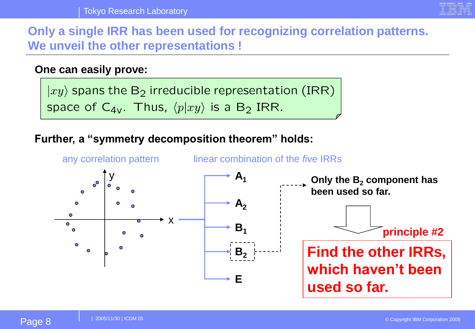

**Only a single IRR has been used for recognizing correlation patterns. We unveil the other representations !**

#### **One can easily prove:**

 $|xy\rangle$  spans the B<sub>2</sub> irreducible representation (IRR) space of  $C_{4v}$ . Thus,  $\langle p|xy \rangle$  is a B<sub>2</sub> IRR.

#### **Further, a "symmetry decomposition theorem" holds:**

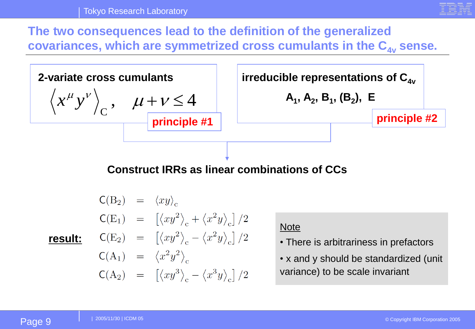

**The two consequences lead to the definition of the generalized covariances, which are symmetrized cross cumulants in the C4v sense.** 



**Construct IRRs as linear combinations of CCs**

$$
C(B_2) = \langle xy \rangle_c
$$
  
\n
$$
C(E_1) = [\langle xy^2 \rangle_c + \langle x^2 y \rangle_c]/2
$$
  
\nresult: 
$$
C(E_2) = [\langle xy^2 \rangle_c - \langle x^2 y \rangle_c]/2
$$
  
\n
$$
C(A_1) = \langle x^2 y^2 \rangle_c
$$
  
\n
$$
C(A_2) = [\langle xy^3 \rangle_c - \langle x^3 y \rangle_c]/2
$$

#### **Note**

- There is arbitrariness in prefactors
- x and y should be standardized (unit variance) to be scale invariant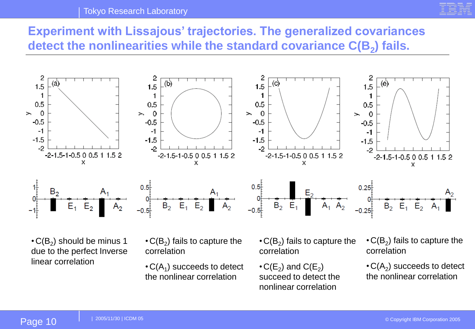#### Tokyo Research Laboratory



## **Experiment with Lissajous' trajectories. The generalized covariances detect the nonlinearities while the standard covariance C(B<sup>2</sup> ) fails.**



 $\cdot$  C(B $_2$ ) should be minus 1 due to the perfect Inverse linear correlation

 $\cdot$  C(B<sub>2</sub>) fails to capture the correlation

 $\cdot$  C(A<sub>1</sub>) succeeds to detect the nonlinear correlation

 $\cdot$  C(B<sub>2</sub>) fails to capture the correlation

 $\cdot$  C(E<sub>2</sub>) and C(E<sub>2</sub>) succeed to detect the nonlinear correlation

 $\cdot$  C(B<sub>2</sub>) fails to capture the correlation

 $\cdot$  C(A<sub>2</sub>) succeeds to detect the nonlinear correlation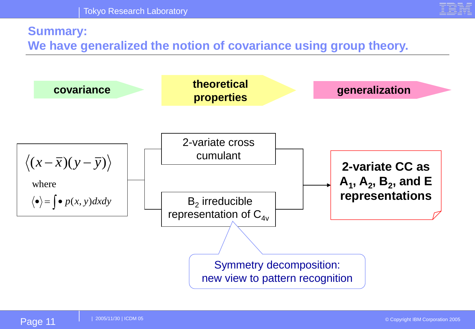

### **Summary:**

**We have generalized the notion of covariance using group theory.** 

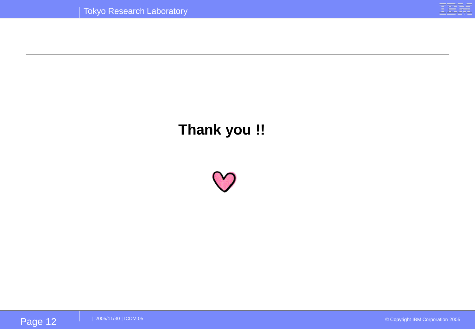

# **Thank you !!**

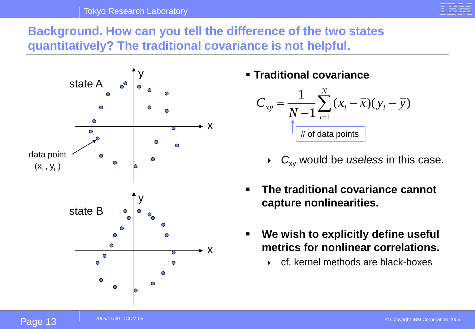

**Background. How can you tell the difference of the two states quantitatively? The traditional covariance is not helpful.**



### ▪ **Traditional covariance**



- *C*<sub>xy</sub> would be *useless* in this case.
- **The traditional covariance cannot capture nonlinearities.**
- **We wish to explicitly define useful metrics for nonlinear correlations.**
	- cf. kernel methods are black-boxes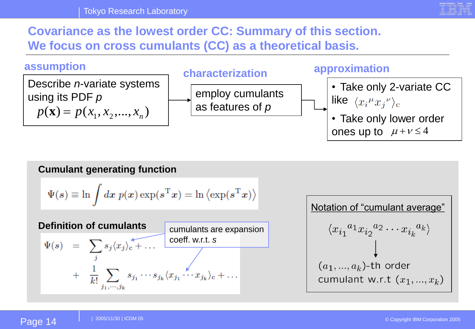

### **Covariance as the lowest order CC: Summary of this section. We focus on cross cumulants (CC) as a theoretical basis.**



#### **Cumulant generating function**

$$
\Psi(s) \equiv \ln \int d\boldsymbol{x} \ p(\boldsymbol{x}) \exp(s^{\mathrm{T}} \boldsymbol{x}) = \ln \left\langle \exp(s^{\mathrm{T}} \boldsymbol{x}) \right\rangle
$$

cumulants are expansion  $\Psi(s) = \sum_{j} s_j \langle x_j \rangle_c + \dots$  coeff. w.r.t. *s*<br>+  $\frac{1}{k!} \sum_{j} s_{j_1} \cdots s_{j_k} \langle x_{j_1} \cdots x_{j_k} \rangle_c + \dots$ **Definition of cumulants**

Notation of "cumulant average" $\langle x_{i_1}{}^{a_1} x_{i_2}{}^{a_2} \cdots x_{i_k}{}^{a_k} \rangle$  $(a_1, ..., a_k)$ -th order cumulant w.r.t  $(x_1, ..., x_k)$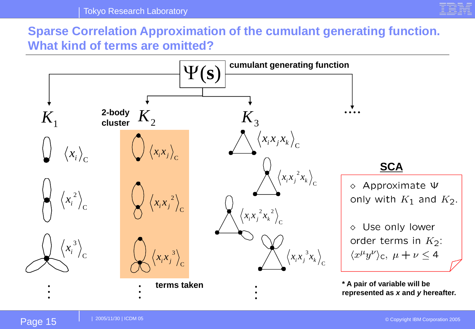

### **Sparse Correlation Approximation of the cumulant generating function. What kind of terms are omitted?**

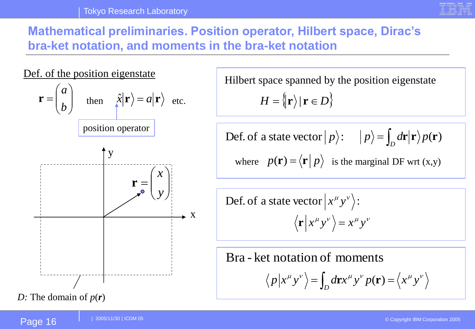

**Mathematical preliminaries. Position operator, Hilbert space, Dirac's bra-ket notation, and moments in the bra-ket notation**



$$
H = \big\{\!|\mathbf{r}\big\}\!|\mathbf{r} \in D\big\}
$$

$$
\text{Def. of a state vector } | p \rangle: \quad | p \rangle = \int_D d\mathbf{r} | \mathbf{r} \rangle p(\mathbf{r})
$$

where  $p(\mathbf{r}) = \langle \mathbf{r} | p \rangle$  is the marginal DF wrt (x,y)

 $\langle \mathbf{r} | x^{\mu} y^{\nu} \rangle = x^{\mu} y^{\nu}$ Def. of a state vector  $|x^{\mu}y^{\nu}\rangle$ :

Bra - ket notation of moments

$$
\langle p | x^{\mu} y^{\nu} \rangle = \int_{D} d\mathbf{r} x^{\mu} y^{\nu} p(\mathbf{r}) = \langle x^{\mu} y^{\nu} \rangle
$$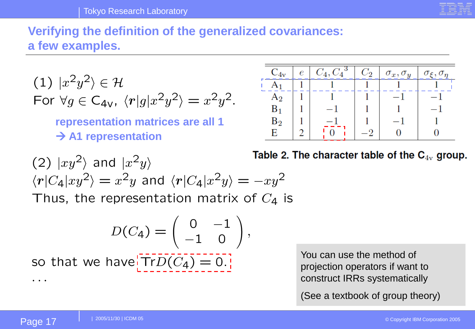### **Verifying the definition of the generalized covariances: a few examples.**

(1) 
$$
|x^2y^2\rangle \in \mathcal{H}
$$
  
For  $\forall g \in C_{4V}$ ,  $\langle r|g|x^2y^2\rangle = x^2y^2$ .

**representation matrices are all 1** → **A1 representation**



(2) 
$$
|xy^2\rangle
$$
 and  $|x^2y\rangle$   
\n $\langle r|C_4|xy^2\rangle = x^2y$  and  $\langle r|C_4|x^2y\rangle = -xy^2$   
\nThus, the representation matrix of  $C_4$  is

Table 2. The character table of the 
$$
\mathbf{C}_{4\mathrm{v}}
$$
 group.

$$
D(C_4) = \left(\begin{array}{cc} 0 & -1 \\ -1 & 0 \end{array}\right),
$$

 $\sqrt{2}$ 

 $\mathcal{L}$ 

so that we have  $TrD(C_4) = 0$ .

You can use the method of projection operators if want to construct IRRs systematically

(See a textbook of group theory)

 $\ddot{\phantom{a}}$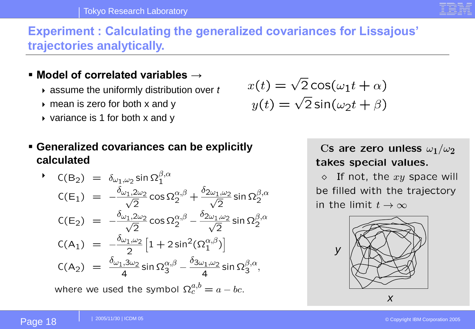

### **Experiment : Calculating the generalized covariances for Lissajous' trajectories analytically.**

### ▪ **Model of correlated variables →**

- assume the uniformly distribution over *t*
- $\rightarrow$  mean is zero for both x and y
- $\rightarrow$  variance is 1 for both x and y
- **Generalized covariances can be explicitly calculated**

$$
C(B_2) = \delta_{\omega_1, \omega_2} \sin \Omega_1^{\beta, \alpha}
$$
  
\n
$$
C(E_1) = -\frac{\delta_{\omega_1, 2\omega_2}}{\sqrt{2}} \cos \Omega_2^{\alpha, \beta} + \frac{\delta_{2\omega_1, \omega_2}}{\sqrt{2}} \sin \Omega_2^{\beta, \alpha}
$$
  
\n
$$
C(E_2) = -\frac{\delta_{\omega_1, 2\omega_2}}{\sqrt{2}} \cos \Omega_2^{\alpha, \beta} - \frac{\delta_{2\omega_1, \omega_2}}{\sqrt{2}} \sin \Omega_2^{\beta, \alpha}
$$
  
\n
$$
C(A_1) = -\frac{\delta_{\omega_1, \omega_2}}{2} \left[1 + 2 \sin^2(\Omega_1^{\alpha, \beta})\right]
$$
  
\n
$$
C(A_2) = \frac{\delta_{\omega_1, 3\omega_2}}{4} \sin \Omega_3^{\alpha, \beta} - \frac{\delta_{3\omega_1, \omega_2}}{4} \sin \Omega_3^{\beta, \alpha},
$$

where we used the symbol  $\Omega_c^{a,b} = a - bc$ .

$$
x(t) = \sqrt{2}\cos(\omega_1 t + \alpha)
$$

$$
y(t) = \sqrt{2}\sin(\omega_2 t + \beta)
$$

Cs are zero unless  $\omega_1/\omega_2$ takes special values.

 $\Diamond$  If not, the  $xy$  space will be filled with the trajectory in the limit  $t\to\infty$